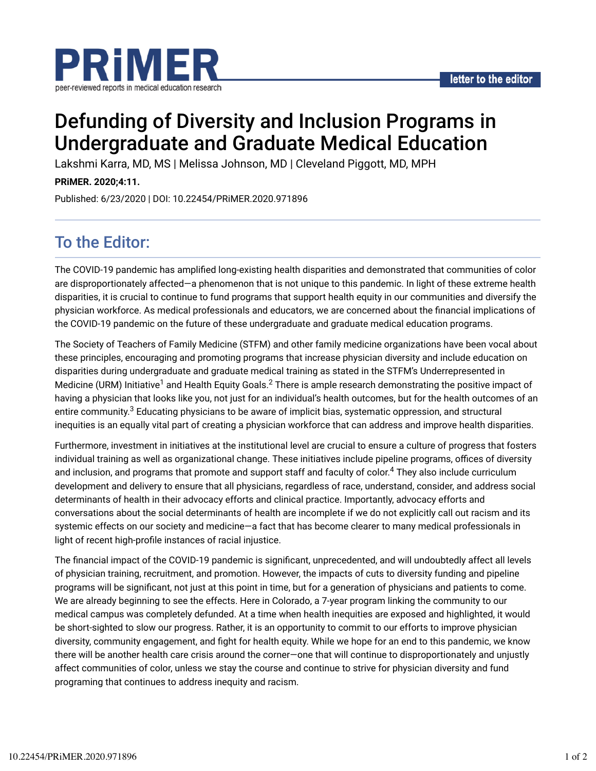

# Defunding of Diversity and Inclusion Programs in Undergraduate and Graduate Medical Education

Lakshmi Karra, MD, MS | Melissa Johnson, MD | Cleveland Piggott, MD, MPH

**PRiMER. 2020;4:11.**

Published: 6/23/2020 | DOI: 10.22454/PRiMER.2020.971896

# To the Editor:

The COVID-19 pandemic has amplified long-existing health disparities and demonstrated that communities of color are disproportionately affected—a phenomenon that is not unique to this pandemic. In light of these extreme health disparities, it is crucial to continue to fund programs that support health equity in our communities and diversify the physician workforce. As medical professionals and educators, we are concerned about the financial implications of the COVID-19 pandemic on the future of these undergraduate and graduate medical education programs.

The Society of Teachers of Family Medicine (STFM) and other family medicine organizations have been vocal about these principles, encouraging and promoting programs that increase physician diversity and include education on disparities during undergraduate and graduate medical training as stated in the STFM's Underrepresented in Medicine (URM) Initiative<sup>1</sup> and Health Equity Goals. $^2$  There is ample research demonstrating the positive impact of having a physician that looks like you, not just for an individual's health outcomes, but for the health outcomes of an entire community. $^3$  Educating physicians to be aware of implicit bias, systematic oppression, and structural inequities is an equally vital part of creating a physician workforce that can address and improve health disparities.

Furthermore, investment in initiatives at the institutional level are crucial to ensure a culture of progress that fosters individual training as well as organizational change. These initiatives include pipeline programs, offices of diversity and inclusion, and programs that promote and support staff and faculty of color.<sup>4</sup> They also include curriculum development and delivery to ensure that all physicians, regardless of race, understand, consider, and address social determinants of health in their advocacy efforts and clinical practice. Importantly, advocacy efforts and conversations about the social determinants of health are incomplete if we do not explicitly call out racism and its systemic effects on our society and medicine—a fact that has become clearer to many medical professionals in light of recent high-profile instances of racial injustice.

The financial impact of the COVID-19 pandemic is significant, unprecedented, and will undoubtedly affect all levels of physician training, recruitment, and promotion. However, the impacts of cuts to diversity funding and pipeline programs will be significant, not just at this point in time, but for a generation of physicians and patients to come. We are already beginning to see the effects. Here in Colorado, a 7-year program linking the community to our medical campus was completely defunded. At a time when health inequities are exposed and highlighted, it would be short-sighted to slow our progress. Rather, it is an opportunity to commit to our efforts to improve physician diversity, community engagement, and fight for health equity. While we hope for an end to this pandemic, we know there will be another health care crisis around the corner—one that will continue to disproportionately and unjustly affect communities of color, unless we stay the course and continue to strive for physician diversity and fund programing that continues to address inequity and racism.